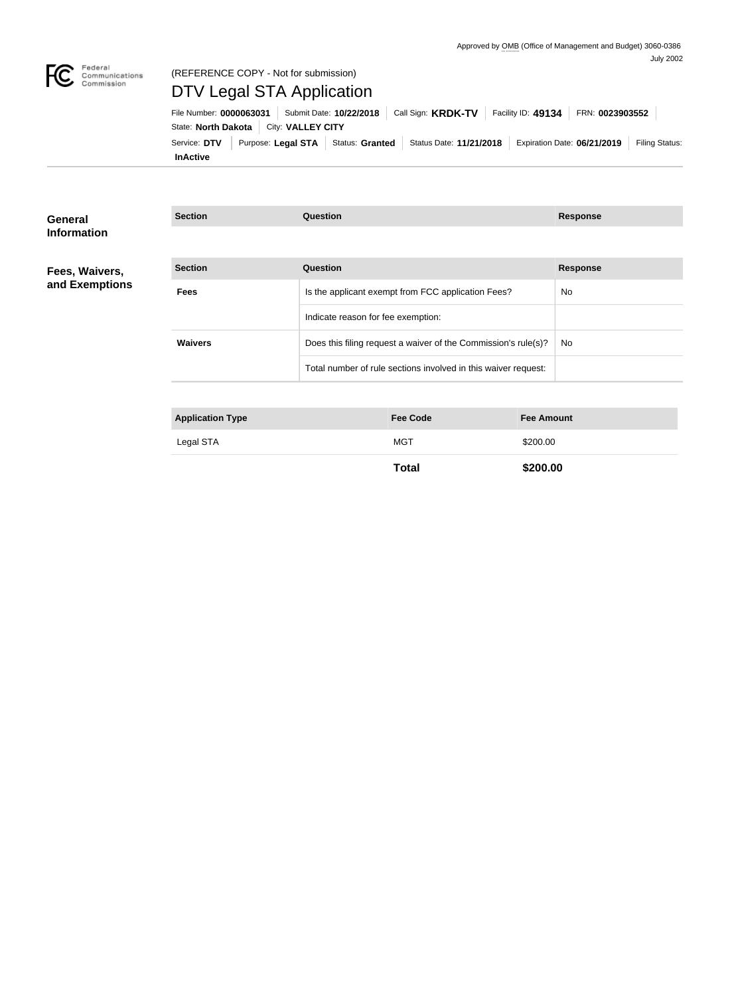

# Federal<br>Communications<br>Commission

# (REFERENCE COPY - Not for submission) DTV Legal STA Application

**InActive** Service: DTV Purpose: Legal STA Status: Granted Status Date: 11/21/2018 Expiration Date: 06/21/2019 Filing Status: State: **North Dakota** | City: VALLEY CITY File Number: **0000063031** Submit Date: **10/22/2018** Call Sign: **KRDK-TV** Facility ID: **49134** FRN: **0023903552**

| General            | <b>Section</b>          | <b>Question</b>                                                | <b>Response</b> |
|--------------------|-------------------------|----------------------------------------------------------------|-----------------|
| <b>Information</b> |                         |                                                                |                 |
| Fees, Waivers,     | <b>Section</b>          | <b>Question</b>                                                | <b>Response</b> |
| and Exemptions     | <b>Fees</b>             | Is the applicant exempt from FCC application Fees?             | No.             |
|                    |                         | Indicate reason for fee exemption:                             |                 |
|                    | <b>Waivers</b>          | Does this filing request a waiver of the Commission's rule(s)? | No              |
|                    |                         | Total number of rule sections involved in this waiver request: |                 |
|                    |                         |                                                                |                 |
|                    | <b>Application Type</b> | <b>Fee Code</b><br><b>Fee Amount</b>                           |                 |

| <b>Application Type</b> | <b>Fee Code</b> | <b>Fee Amount</b> |
|-------------------------|-----------------|-------------------|
| Legal STA               | MGT             | \$200.00          |
|                         |                 |                   |

**Total \$200.00**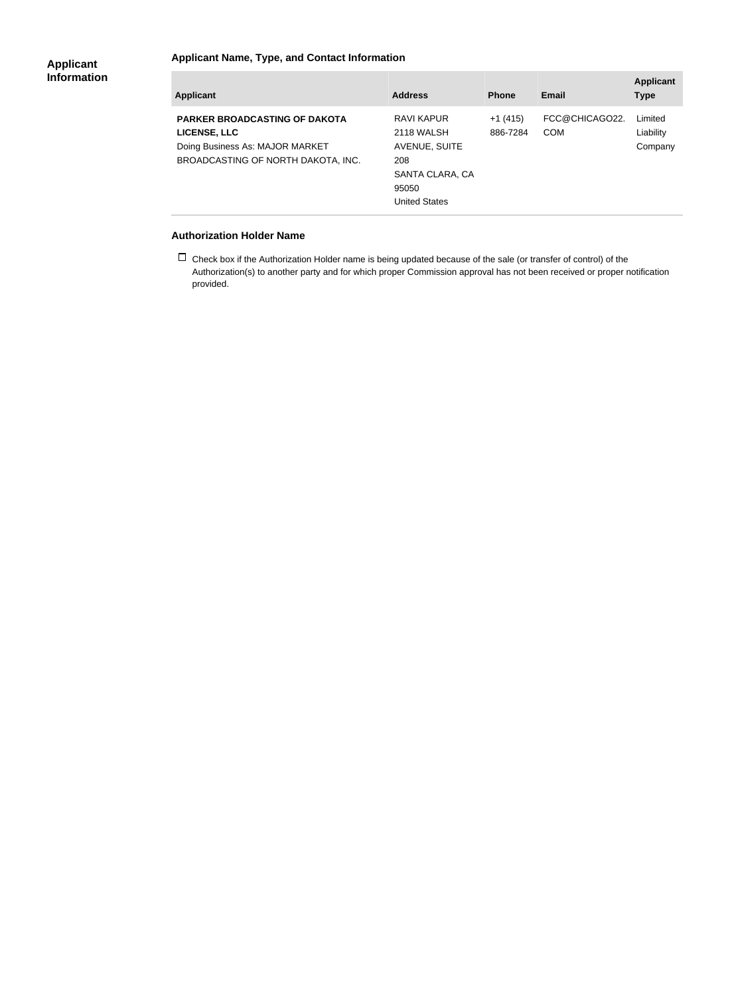### **Applicant Name, Type, and Contact Information**

| <b>Applicant</b>                                                                                                              | <b>Address</b>                                                                                       | <b>Phone</b>          | <b>Email</b>                 | <b>Applicant</b><br><b>Type</b> |
|-------------------------------------------------------------------------------------------------------------------------------|------------------------------------------------------------------------------------------------------|-----------------------|------------------------------|---------------------------------|
| <b>PARKER BROADCASTING OF DAKOTA</b><br>LICENSE, LLC<br>Doing Business As: MAJOR MARKET<br>BROADCASTING OF NORTH DAKOTA, INC. | RAVI KAPUR<br>2118 WALSH<br>AVENUE, SUITE<br>208<br>SANTA CLARA, CA<br>95050<br><b>United States</b> | $+1(415)$<br>886-7284 | FCC@CHICAGO22.<br><b>COM</b> | Limited<br>Liability<br>Company |

#### **Authorization Holder Name**

 $\Box$  Check box if the Authorization Holder name is being updated because of the sale (or transfer of control) of the Authorization(s) to another party and for which proper Commission approval has not been received or proper notification provided.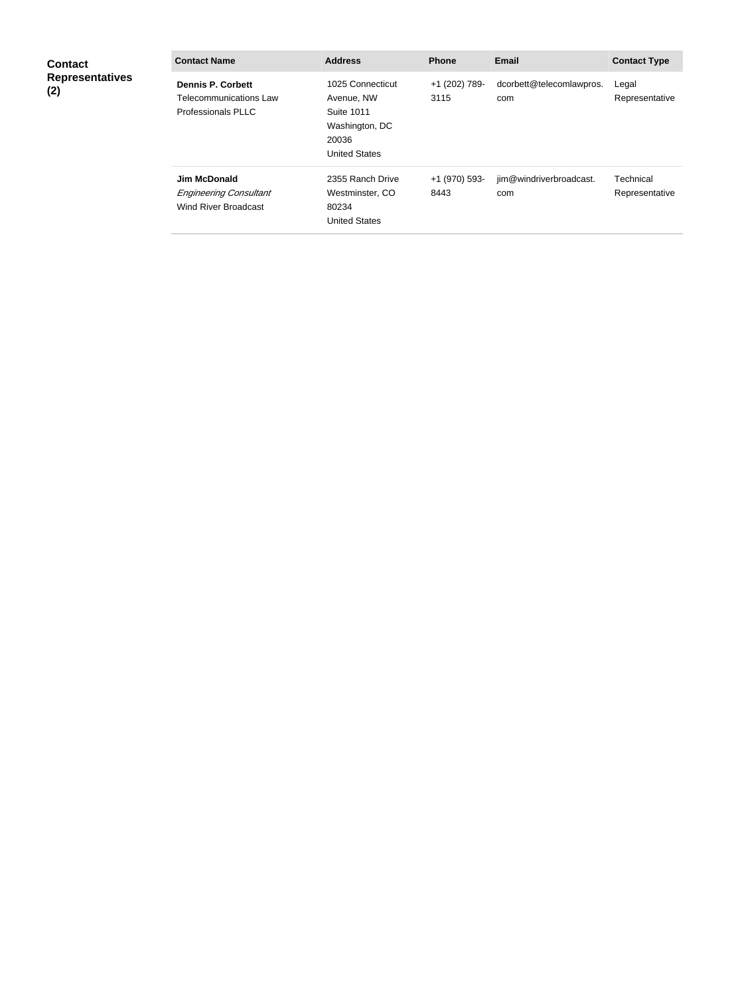| <b>Contact</b><br><b>Representatives</b><br>(2) | <b>Contact Name</b>                                                             | <b>Address</b>                                                                                         | <b>Phone</b>          | <b>Email</b>                    | <b>Contact Type</b>         |
|-------------------------------------------------|---------------------------------------------------------------------------------|--------------------------------------------------------------------------------------------------------|-----------------------|---------------------------------|-----------------------------|
|                                                 | <b>Dennis P. Corbett</b><br>Telecommunications Law<br><b>Professionals PLLC</b> | 1025 Connecticut<br>Avenue, NW<br><b>Suite 1011</b><br>Washington, DC<br>20036<br><b>United States</b> | +1 (202) 789-<br>3115 | dcorbett@telecomlawpros.<br>com | Legal<br>Representative     |
|                                                 | <b>Jim McDonald</b><br><b>Engineering Consultant</b><br>Wind River Broadcast    | 2355 Ranch Drive<br>Westminster, CO<br>80234<br><b>United States</b>                                   | +1 (970) 593-<br>8443 | jim@windriverbroadcast.<br>com  | Technical<br>Representative |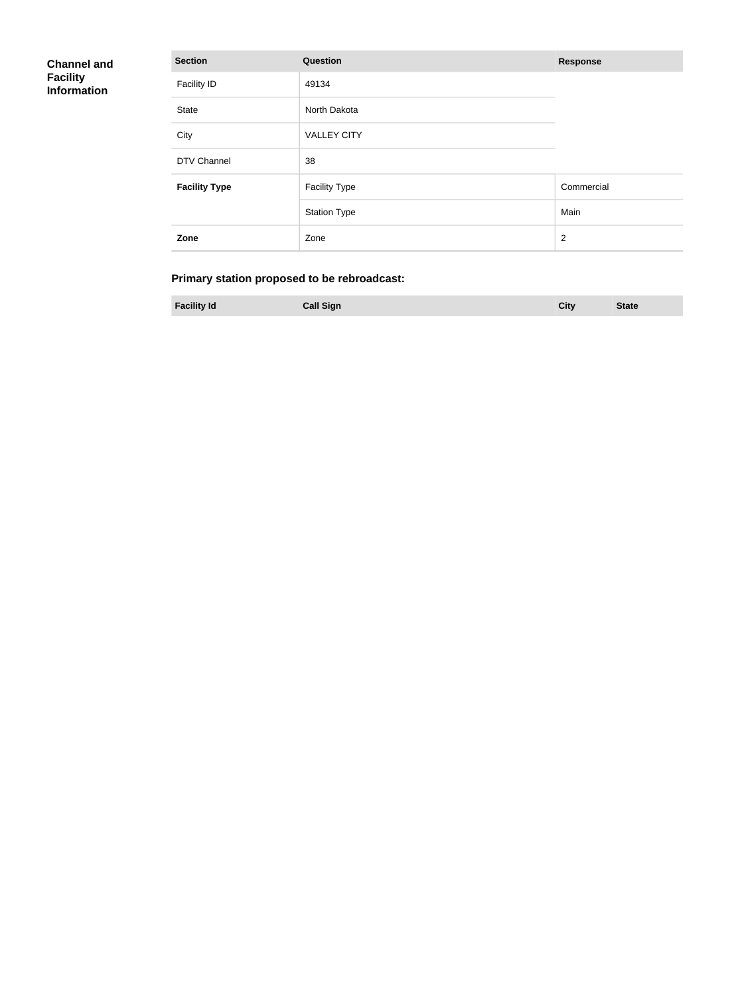## **Channel and Facility Information**

| <b>Section</b>       | Question             | <b>Response</b> |
|----------------------|----------------------|-----------------|
| <b>Facility ID</b>   | 49134                |                 |
| <b>State</b>         | North Dakota         |                 |
| City                 | <b>VALLEY CITY</b>   |                 |
| DTV Channel          | 38                   |                 |
| <b>Facility Type</b> | <b>Facility Type</b> | Commercial      |
|                      | <b>Station Type</b>  | Main            |
| Zone                 | Zone                 | $\overline{2}$  |

## **Primary station proposed to be rebroadcast:**

| <b>Facility Id</b><br><b>Call Sign</b><br>City | <b>State</b> |
|------------------------------------------------|--------------|
|------------------------------------------------|--------------|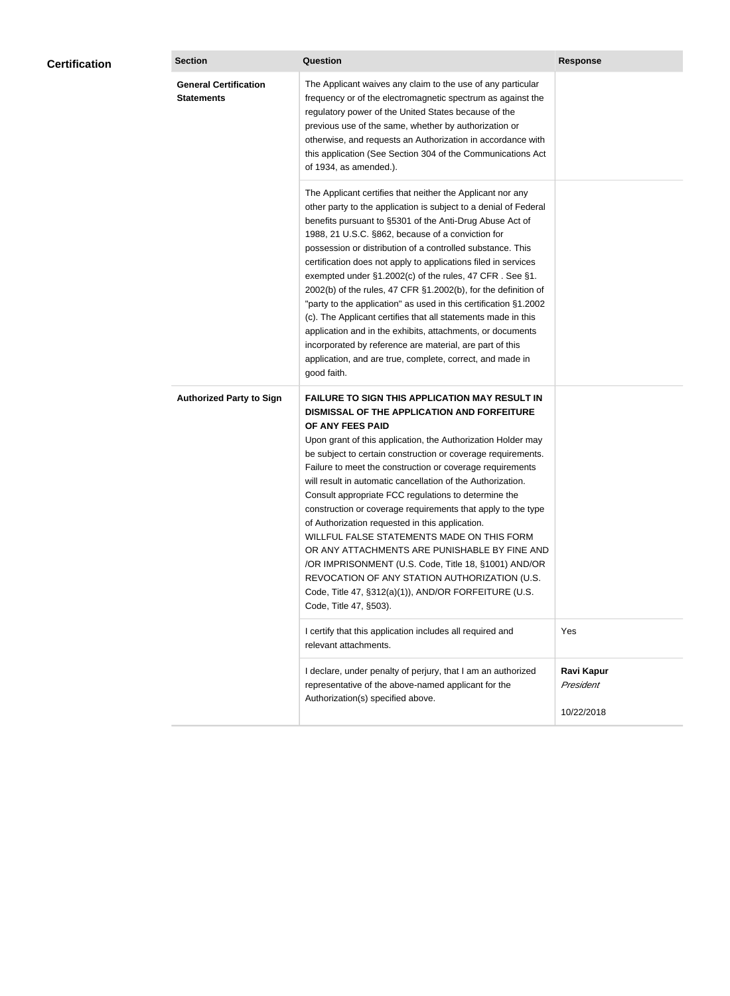| <b>Certification</b> | <b>Section</b>                                    | <b>Question</b>                                                                                                                                                                                                                                                                                                                                                                                                                                                                                                                                                                                                                                                                                                                                                                                                                                           | <b>Response</b>                              |  |
|----------------------|---------------------------------------------------|-----------------------------------------------------------------------------------------------------------------------------------------------------------------------------------------------------------------------------------------------------------------------------------------------------------------------------------------------------------------------------------------------------------------------------------------------------------------------------------------------------------------------------------------------------------------------------------------------------------------------------------------------------------------------------------------------------------------------------------------------------------------------------------------------------------------------------------------------------------|----------------------------------------------|--|
|                      | <b>General Certification</b><br><b>Statements</b> | The Applicant waives any claim to the use of any particular<br>frequency or of the electromagnetic spectrum as against the<br>regulatory power of the United States because of the<br>previous use of the same, whether by authorization or<br>otherwise, and requests an Authorization in accordance with<br>this application (See Section 304 of the Communications Act<br>of 1934, as amended.).                                                                                                                                                                                                                                                                                                                                                                                                                                                       |                                              |  |
|                      |                                                   | The Applicant certifies that neither the Applicant nor any<br>other party to the application is subject to a denial of Federal<br>benefits pursuant to §5301 of the Anti-Drug Abuse Act of<br>1988, 21 U.S.C. §862, because of a conviction for<br>possession or distribution of a controlled substance. This<br>certification does not apply to applications filed in services<br>exempted under §1.2002(c) of the rules, 47 CFR. See §1.<br>2002(b) of the rules, 47 CFR §1.2002(b), for the definition of<br>"party to the application" as used in this certification §1.2002<br>(c). The Applicant certifies that all statements made in this<br>application and in the exhibits, attachments, or documents<br>incorporated by reference are material, are part of this<br>application, and are true, complete, correct, and made in<br>good faith.   |                                              |  |
|                      | <b>Authorized Party to Sign</b>                   | <b>FAILURE TO SIGN THIS APPLICATION MAY RESULT IN</b><br>DISMISSAL OF THE APPLICATION AND FORFEITURE<br>OF ANY FEES PAID<br>Upon grant of this application, the Authorization Holder may<br>be subject to certain construction or coverage requirements.<br>Failure to meet the construction or coverage requirements<br>will result in automatic cancellation of the Authorization.<br>Consult appropriate FCC regulations to determine the<br>construction or coverage requirements that apply to the type<br>of Authorization requested in this application.<br>WILLFUL FALSE STATEMENTS MADE ON THIS FORM<br>OR ANY ATTACHMENTS ARE PUNISHABLE BY FINE AND<br>/OR IMPRISONMENT (U.S. Code, Title 18, §1001) AND/OR<br>REVOCATION OF ANY STATION AUTHORIZATION (U.S.<br>Code, Title 47, §312(a)(1)), AND/OR FORFEITURE (U.S.<br>Code, Title 47, §503). |                                              |  |
|                      |                                                   | I certify that this application includes all required and<br>relevant attachments.                                                                                                                                                                                                                                                                                                                                                                                                                                                                                                                                                                                                                                                                                                                                                                        | Yes                                          |  |
|                      |                                                   | I declare, under penalty of perjury, that I am an authorized<br>representative of the above-named applicant for the<br>Authorization(s) specified above.                                                                                                                                                                                                                                                                                                                                                                                                                                                                                                                                                                                                                                                                                                  | <b>Ravi Kapur</b><br>President<br>10/22/2018 |  |
|                      |                                                   |                                                                                                                                                                                                                                                                                                                                                                                                                                                                                                                                                                                                                                                                                                                                                                                                                                                           |                                              |  |